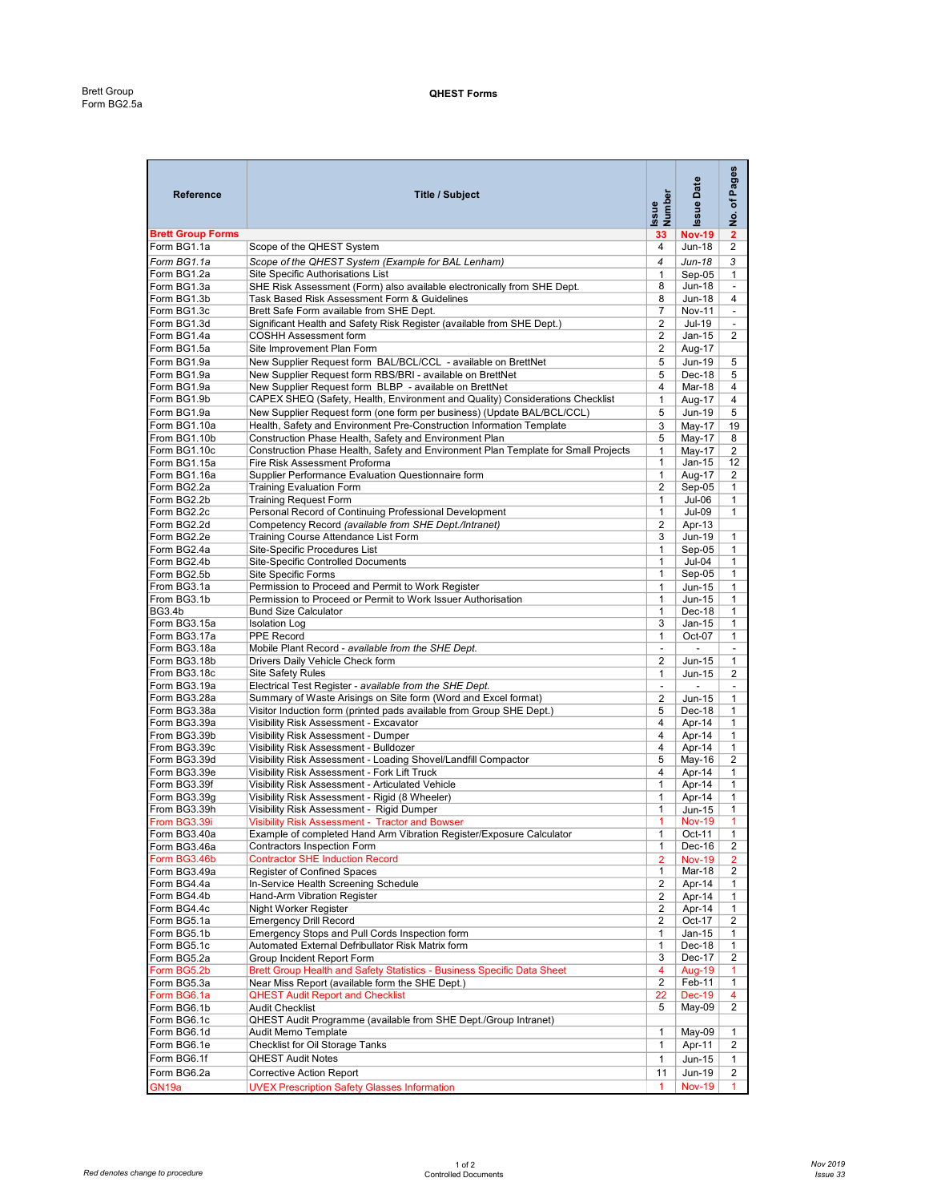| Reference                    | <b>Title / Subject</b>                                                                                              | Number<br>Issue         | <b>Issue Date</b>        | Pages<br>৳<br><u>ş</u>   |
|------------------------------|---------------------------------------------------------------------------------------------------------------------|-------------------------|--------------------------|--------------------------|
| <b>Brett Group Forms</b>     |                                                                                                                     | 33                      | <b>Nov-19</b>            | $\mathbf{2}$             |
| Form BG1.1a                  | Scope of the QHEST System                                                                                           | $\overline{4}$          | <b>Jun-18</b>            | $\overline{2}$           |
| Form BG1.1a                  | Scope of the QHEST System (Example for BAL Lenham)                                                                  | 4                       | Jun-18                   | 3                        |
| Form BG1.2a                  | Site Specific Authorisations List                                                                                   | $\mathbf{1}$            | $Sep-05$                 | $\mathbf{1}$             |
| Form BG1.3a                  | SHE Risk Assessment (Form) also available electronically from SHE Dept.                                             | 8                       | Jun-18                   | $\overline{\phantom{a}}$ |
| Form BG1.3b                  | Task Based Risk Assessment Form & Guidelines                                                                        | 8                       | <b>Jun-18</b>            | $\overline{4}$           |
| Form BG1.3c                  | Brett Safe Form available from SHE Dept.                                                                            | $\overline{7}$          | <b>Nov-11</b>            | $\overline{\phantom{a}}$ |
| Form BG1.3d                  | Significant Health and Safety Risk Register (available from SHE Dept.)                                              | $\overline{2}$          | Jul-19                   | $\overline{\phantom{a}}$ |
| Form BG1.4a                  | <b>COSHH Assessment form</b>                                                                                        | 2                       | $Jan-15$                 | $\overline{2}$           |
| Form BG1.5a                  | Site Improvement Plan Form                                                                                          | $\overline{2}$          | Aug-17                   |                          |
| Form BG1.9a                  | New Supplier Request form BAL/BCL/CCL - available on BrettNet                                                       | 5                       | <b>Jun-19</b>            | 5                        |
| Form BG1.9a                  | New Supplier Request form RBS/BRI - available on BrettNet                                                           | 5                       | Dec-18                   | 5                        |
| Form BG1.9a                  | New Supplier Request form BLBP - available on BrettNet                                                              | 4                       | Mar-18                   | 4                        |
| Form BG1.9b                  | CAPEX SHEQ (Safety, Health, Environment and Quality) Considerations Checklist                                       | $\mathbf{1}$            | Aug-17                   | $\overline{4}$           |
| Form BG1.9a                  | New Supplier Request form (one form per business) (Update BAL/BCL/CCL)                                              | 5                       | <b>Jun-19</b>            | 5                        |
| Form BG1.10a                 | Health, Safety and Environment Pre-Construction Information Template                                                | 3                       | May-17                   | 19                       |
| From BG1.10b                 | Construction Phase Health, Safety and Environment Plan                                                              | 5                       | $May-17$                 | 8                        |
|                              |                                                                                                                     | $\mathbf{1}$            |                          |                          |
| Form BG1.10c<br>Form BG1.15a | Construction Phase Health, Safety and Environment Plan Template for Small Projects<br>Fire Risk Assessment Proforma | 1                       | May-17<br>$Jan-15$       | 2<br>12                  |
|                              | Supplier Performance Evaluation Questionnaire form                                                                  |                         |                          |                          |
| Form BG1.16a<br>Form BG2.2a  | <b>Training Evaluation Form</b>                                                                                     | $\mathbf{1}$<br>2       | Aug-17<br>$Sep-05$       | $\overline{2}$           |
| Form BG2.2b                  |                                                                                                                     | 1                       | Jul-06                   | 1<br>$\mathbf{1}$        |
| Form BG2.2c                  | <b>Training Request Form</b><br>Personal Record of Continuing Professional Development                              | $\mathbf{1}$            | <b>Jul-09</b>            | $\mathbf{1}$             |
|                              | Competency Record (available from SHE Dept./Intranet)                                                               |                         |                          |                          |
| Form BG2.2d<br>Form BG2.2e   |                                                                                                                     | $\overline{2}$          | Apr-13                   |                          |
|                              | Training Course Attendance List Form                                                                                | 3                       | Jun-19                   | $\mathbf{1}$             |
| Form BG2.4a                  | Site-Specific Procedures List                                                                                       | $\mathbf{1}$            | $Sep-05$                 | $\mathbf{1}$             |
| Form BG2.4b                  | Site-Specific Controlled Documents                                                                                  | 1                       | Jul-04                   | 1                        |
| Form BG2.5b                  | Site Specific Forms                                                                                                 | 1                       | $Sep-05$                 | $\mathbf{1}$             |
| From BG3.1a                  | Permission to Proceed and Permit to Work Register                                                                   | $\mathbf{1}$            | Jun-15                   | $\mathbf{1}$             |
| From BG3.1b                  | Permission to Proceed or Permit to Work Issuer Authorisation                                                        | $\mathbf{1}$            | Jun-15                   | $\mathbf{1}$             |
| <b>BG3.4b</b>                | <b>Bund Size Calculator</b>                                                                                         | 1                       | Dec-18                   | $\mathbf{1}$             |
| Form BG3.15a                 | <b>Isolation Log</b>                                                                                                | 3                       | Jan-15                   | $\mathbf{1}$             |
| Form BG3.17a                 | PPE Record                                                                                                          | $\mathbf{1}$            | Oct-07                   | $\mathbf{1}$             |
| Form BG3.18a                 | Mobile Plant Record - available from the SHE Dept.                                                                  | $\blacksquare$          | $\overline{\phantom{a}}$ |                          |
| Form BG3.18b                 | Drivers Daily Vehicle Check form                                                                                    | 2                       | Jun-15                   | $\mathbf{1}$             |
| From BG3.18c                 | <b>Site Safety Rules</b>                                                                                            | $\mathbf{1}$            | Jun-15                   | $\overline{2}$           |
| Form BG3.19a                 | Electrical Test Register - available from the SHE Dept.                                                             | $\blacksquare$          | $\blacksquare$           | $\overline{\phantom{a}}$ |
| Form BG3.28a                 | Summary of Waste Arisings on Site form (Word and Excel format)                                                      | $\overline{\mathbf{c}}$ | Jun-15                   | $\mathbf{1}$             |
| Form BG3.38a                 | Visitor Induction form (printed pads available from Group SHE Dept.)                                                | 5                       | Dec-18                   | $\mathbf{1}$             |
| Form BG3.39a                 | Visibility Risk Assessment - Excavator                                                                              | 4                       | Apr-14                   | $\mathbf{1}$             |
| From BG3.39b                 | Visibility Risk Assessment - Dumper                                                                                 | 4                       | Apr-14                   | $\mathbf{1}$             |
| From BG3.39c                 | Visibility Risk Assessment - Bulldozer                                                                              | 4                       | Apr-14                   | $\mathbf{1}$             |
| Form BG3.39d                 | Visibility Risk Assessment - Loading Shovel/Landfill Compactor                                                      | 5                       | May-16                   | $\overline{2}$           |
| Form BG3.39e                 | Visibility Risk Assessment - Fork Lift Truck                                                                        | 4                       | Apr-14                   | $\mathbf{1}$             |
| Form BG3.39f                 | Visibility Risk Assessment - Articulated Vehicle                                                                    | $\mathbf{1}$            | Apr-14                   | $\mathbf{1}$             |
| Form BG3.39g                 | Visibility Risk Assessment - Rigid (8 Wheeler)                                                                      | $\mathbf{1}$            | Apr-14                   | $\mathbf{1}$             |
| From BG3.39h                 | Visibility Risk Assessment - Rigid Dumper                                                                           | $\mathbf{1}$            | Jun-15                   | $\mathbf{1}$             |
| From BG3.39i                 | <b>Visibility Risk Assessment - Tractor and Bowser</b>                                                              | $\mathbf{1}$            | <b>Nov-19</b>            | $\mathbf{1}$             |
| Form BG3.40a                 | Example of completed Hand Arm Vibration Register/Exposure Calculator                                                | $\mathbf{1}$            | Oct-11                   | 1                        |
| Form BG3.46a                 | Contractors Inspection Form                                                                                         | $\mathbf{1}$            | Dec-16                   | $\overline{2}$           |
| Form BG3.46b                 | <b>Contractor SHE Induction Record</b>                                                                              | $\overline{2}$          | <b>Nov-19</b>            | $\overline{2}$           |
| Form BG3.49a                 | Register of Confined Spaces                                                                                         | 1                       | Mar-18                   | $\overline{2}$           |
| Form BG4.4a                  | In-Service Health Screening Schedule                                                                                | $\overline{2}$          | Apr-14                   | $\mathbf{1}$             |
| Form BG4.4b                  | Hand-Arm Vibration Register                                                                                         | $\overline{2}$          | Apr-14                   | $\mathbf{1}$             |
| Form BG4.4c                  | Night Worker Register                                                                                               | $\overline{2}$          | Apr-14                   | $\mathbf{1}$             |
| Form BG5.1a                  | <b>Emergency Drill Record</b>                                                                                       | $\overline{2}$          | Oct-17                   | $\overline{2}$           |
| Form BG5.1b                  | Emergency Stops and Pull Cords Inspection form                                                                      | $\mathbf{1}$            | Jan-15                   | $\mathbf{1}$             |
| Form BG5.1c                  | Automated External Defribullator Risk Matrix form                                                                   | 1                       | Dec-18                   | $\mathbf{1}$             |
| Form BG5.2a                  | Group Incident Report Form                                                                                          | 3                       | Dec-17                   | $\overline{2}$           |
|                              |                                                                                                                     |                         |                          |                          |
| Form BG5.2b                  | Brett Group Health and Safety Statistics - Business Specific Data Sheet                                             | 4                       | Aug-19                   | 1.                       |
| Form BG5.3a                  | Near Miss Report (available form the SHE Dept.)                                                                     | $\overline{2}$          | Feb-11                   | $\mathbf{1}$             |
| Form BG6.1a                  | <b>QHEST Audit Report and Checklist</b>                                                                             | 22                      | <b>Dec-19</b>            | 4                        |
| Form BG6.1b                  | <b>Audit Checklist</b>                                                                                              | 5                       | May-09                   | $\overline{2}$           |
| Form BG6.1c                  | QHEST Audit Programme (available from SHE Dept./Group Intranet)                                                     |                         |                          |                          |
| Form BG6.1d                  | Audit Memo Template                                                                                                 | 1                       | May-09                   | $\mathbf{1}$             |
| Form BG6.1e                  | Checklist for Oil Storage Tanks                                                                                     | 1                       | Apr-11                   | $\overline{2}$           |
| Form BG6.1f                  | <b>QHEST Audit Notes</b>                                                                                            | 1                       | <b>Jun-15</b>            | $\mathbf{1}$             |
| Form BG6.2a                  | <b>Corrective Action Report</b>                                                                                     | 11                      | Jun-19                   | $\overline{2}$           |
| GN <sub>19a</sub>            | <b>UVEX Prescription Safety Glasses Information</b>                                                                 | 1                       | <b>Nov-19</b>            |                          |